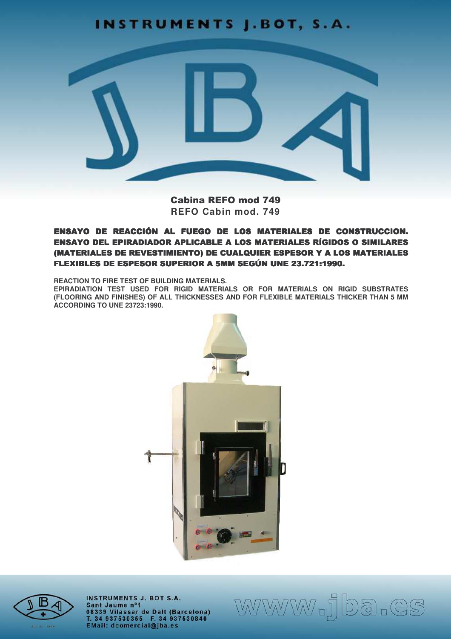# **INSTRUMENTS J.BOT, S.A.**



Cabina REFO mod 749 REFO Cabin mod. 749

# ENSAYO DE REACCIÓN AL FUEGO DE LOS MATERIALES DE CONSTRUCCION. **ENSAYO DEL EPIRADIADOR APLICABLE A LOS MATERIALES RÍGIDOS O SIMILARES** (MATERIALES DE REVESTIMIENTO) DE CUALQUIER ESPESOR Y A LOS MATERIALES FLEXIBLES DE ESPESOR SUPERIOR A 5MM SEGÚN UNE 23.721:1990.

**REACTION TO FIRE TEST OF BUILDING MATERIALS.** 

EPIRADIATION TEST USED FOR RIGID MATERIALS OR FOR MATERIALS ON RIGID SUBSTRATES (FLOORING AND FINISHES) OF ALL THICKNESSES AND FOR FLEXIBLE MATERIALS THICKER THAN 5 MM **ACCORDING TO UNE 23723:1990.** 





**INSTRUMENTS J. BOT S.A.** Sant Jaume nº1 08339 Vilassar de Dalt (Barcelona)<br>T. 34 937530355 F. 34 937530840<br>EMail: dcomercial@jba.es www.jba.es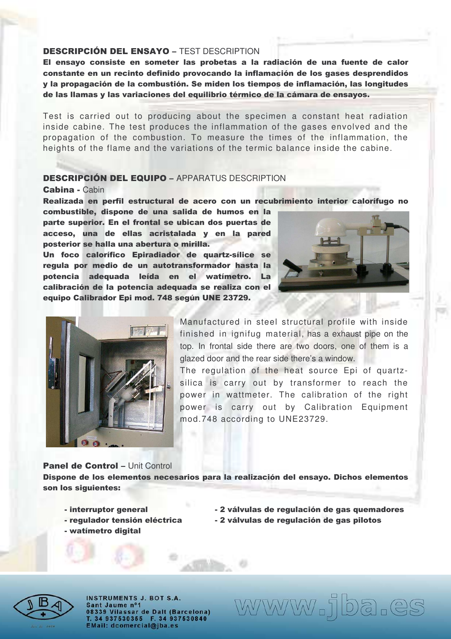## DESCRIPCIÓN DEL ENSAYO - TEST DESCRIPTION

El ensayo consiste en someter las probetas a la radiación de una fuente de calor constante en un recinto definido provocando la inflamación de los gases desprendidos y la propagación de la combustión. Se miden los tiempos de inflamación, las longitudes de las llamas y las variaciones del equilibrio térmico de la cámara de ensayos.

Test is carried out to producing about the specimen a constant heat radiation inside cabine. The test produces the inflammation of the gases envolved and the propagation of the combustion. To measure the times of the inflammation, the heights of the flame and the variations of the termic balance inside the cabine.

## DESCRIPCIÓN DEL EQUIPO - APPARATUS DESCRIPTION

#### Cabina - Cabin

Realizada en perfil estructural de acero con un recubrimiento interior calorífugo no

combustible, dispone de una salida de humos en la parte superior. En el frontal se ubican dos puertas de acceso, una de ellas acristalada y en la pared posterior se halla una abertura o mirilla.

Un foco calorífico Epiradiador de quartz-sílice se regula por medio de un autotransformador hasta la potencia adequada leída en el watímetro. La calibración de la potencia adequada se realiza con el equipo Calibrador Epi mod. 748 según UNE 23729.





Manufactured in steel structural profile with inside finished in ignifug material, has a exhaust pipe on the top. In frontal side there are two doors, one of them is a glazed door and the rear side there's a window.

The regulation of the heat source Epi of quartzsilica is carry out by transformer to reach the power in wattmeter. The calibration of the right power is carry out by Calibration Equipment mod.748 according to UNE23729.

### Panel de Control - Unit Control

Dispone de los elementos necesarios para la realización del ensayo. Dichos elementos son los siguientes:

- interruptor general
- regulador tensión eléctrica
- watímetro digital
- **I Exercición de serveixa e a la extrema de serveixa e a la extranación de gas quemadores** - 2 válvulas de regulación de gas pilotos

www.jba.es



**INSTRUMENTS J. BOT S.A.** Sant Jaume nº1 08339 Vilassar de Dalt (Barcelona) T. 34 937530355 F. 34 937530840 EMail: dcomercial@jba.es